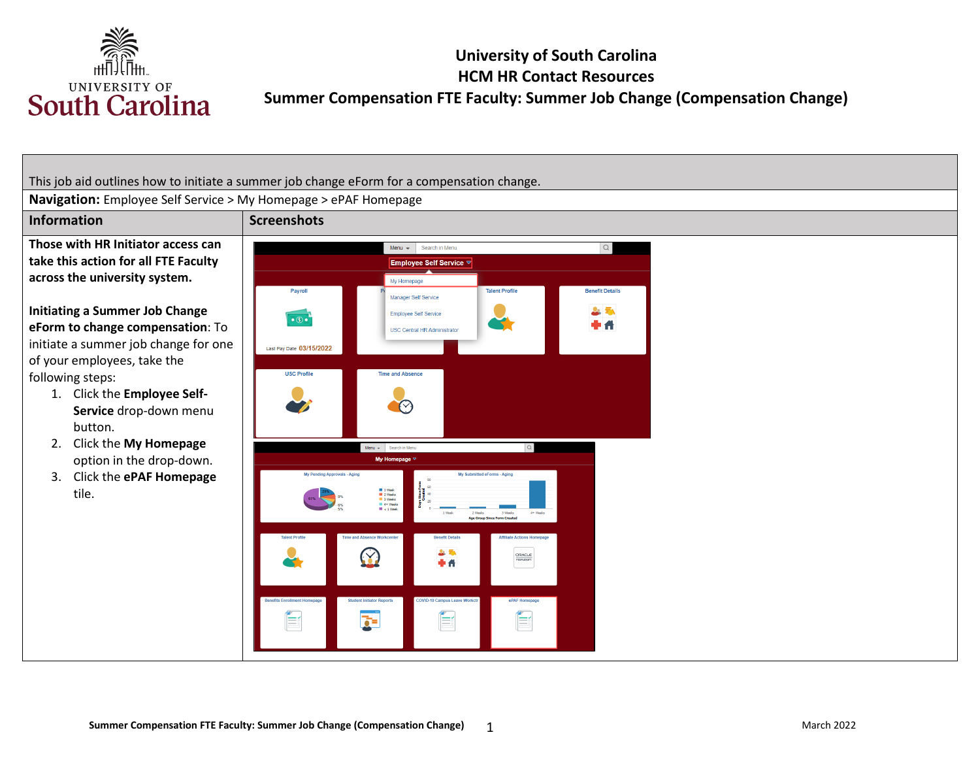

This job aid outlines how to initiate a summer job change eForm for a compensation change.

**Navigation:** Employee Self Service > My Homepage > ePAF Homepage

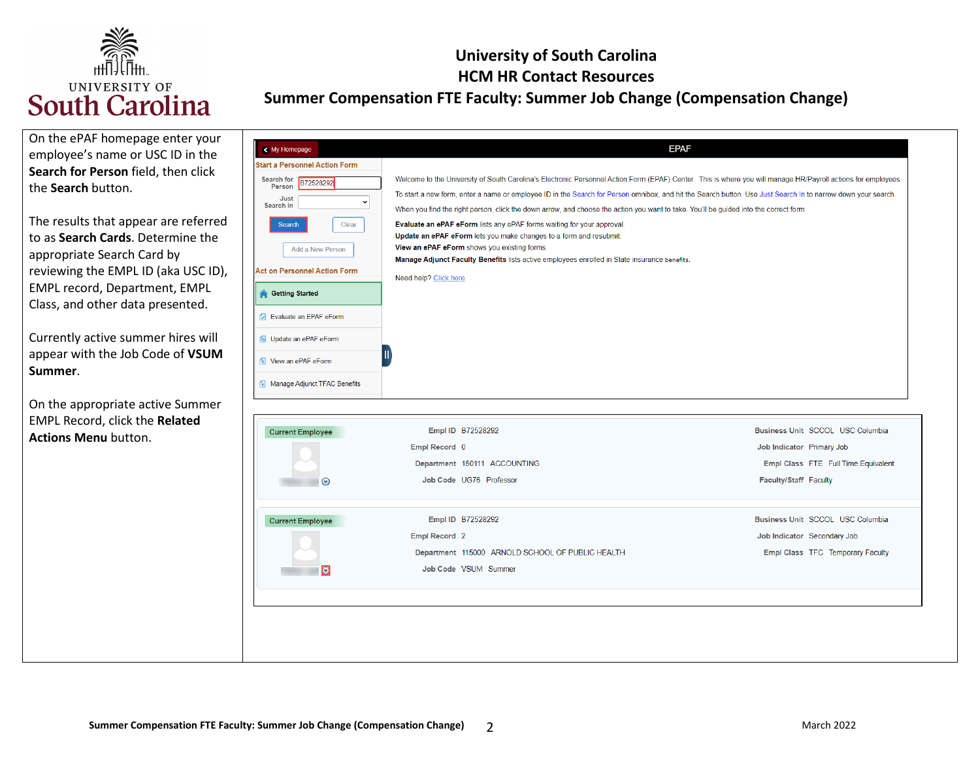

#### **University of South Carolina HCM HR Contact Resources Summer Compensation FTE Faculty: Summer Job Change (Compensation Change)**

| On the ePAF homepage enter your<br>employee's name or USC ID in the<br>Search for Person field, then click<br>the Search button.<br>The results that appear are referred<br>to as Search Cards. Determine the<br>appropriate Search Card by<br>reviewing the EMPL ID (aka USC ID),<br>EMPL record, Department, EMPL<br>Class, and other data presented.<br>Currently active summer hires will<br>appear with the Job Code of VSUM<br>Summer. | < My Homepage<br><b>Start a Personnel Action Form</b><br>Search for<br>B72528292<br>Person<br>Just<br>$\check{ }$<br>Search In<br>Clear<br>Search<br>Add a New Person<br><b>Act on Personnel Action Form</b><br><b>Started</b><br><b>7</b> Evaluate an EPAF eForm<br>6 Update an ePAF eForm<br><b>1</b> View an ePAF eForm<br>Manage Adjunct TFAC Benefits | <b>EPAF</b><br>Welcome to the University of South Carolina's Electronic Personnel Action Form (EPAF) Center. This is where you will manage HR/Payroll actions for employees.<br>To start a new form, enter a name or employee ID in the Search for Person omnibox, and hit the Search button. Use Just Search In to narrow down your search.<br>When you find the right person, click the down arrow, and choose the action you want to take. You'll be guided into the correct form.<br>Evaluate an ePAF eForm lists any ePAF forms waiting for your approval.<br>Update an ePAF eForm lets you make changes to a form and resubmit.<br>View an ePAF eForm shows you existing forms.<br>Manage Adjunct Faculty Benefits lists active employees enrolled in State insurance benefits.<br>Need help? Click here |                                                                                                                                                                                                                                      |
|----------------------------------------------------------------------------------------------------------------------------------------------------------------------------------------------------------------------------------------------------------------------------------------------------------------------------------------------------------------------------------------------------------------------------------------------|------------------------------------------------------------------------------------------------------------------------------------------------------------------------------------------------------------------------------------------------------------------------------------------------------------------------------------------------------------|----------------------------------------------------------------------------------------------------------------------------------------------------------------------------------------------------------------------------------------------------------------------------------------------------------------------------------------------------------------------------------------------------------------------------------------------------------------------------------------------------------------------------------------------------------------------------------------------------------------------------------------------------------------------------------------------------------------------------------------------------------------------------------------------------------------|--------------------------------------------------------------------------------------------------------------------------------------------------------------------------------------------------------------------------------------|
| On the appropriate active Summer<br>EMPL Record, click the Related<br><b>Actions Menu button.</b>                                                                                                                                                                                                                                                                                                                                            | <b>Current Employee</b><br>$\odot$<br><b>Current Employee</b><br>O                                                                                                                                                                                                                                                                                         | Empl ID B72528292<br>Empl Record 0<br>Department 150111 ACCOUNTING<br>Job Code UG76 Professor<br>Empl ID B72528292<br>Empl Record 2<br>Department 115000 ARNOLD SCHOOL OF PUBLIC HEALTH<br>Job Code VSUM Summer                                                                                                                                                                                                                                                                                                                                                                                                                                                                                                                                                                                                | Business Unit SCCOL USC Columbia<br>Job Indicator Primary Job<br>Empl Class FTE Full Time Equivalent<br>Faculty/Staff Faculty<br>Business Unit SCCOL USC Columbia<br>Job Indicator Secondary Job<br>Empl Class TFC Temporary Faculty |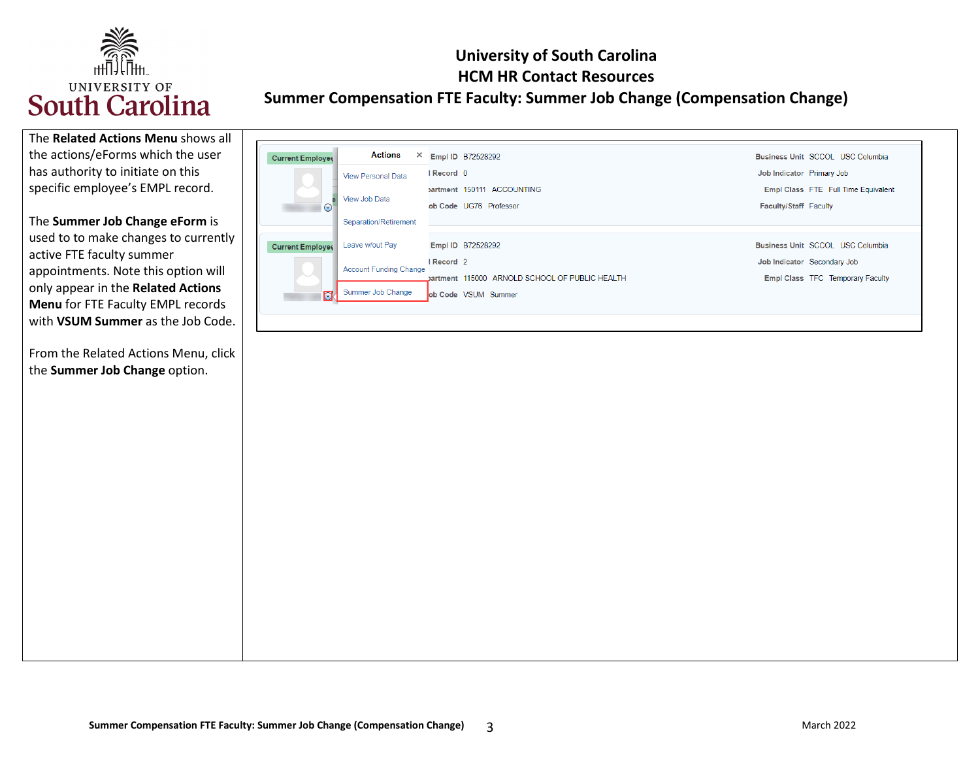

 the actions/eForms which the user has authority to initiate on this The **Related Actions Menu** shows all specific employee's EMPL record.

 used to to make changes to currently appointments. Note this option will The **Summer Job Change eForm** is active FTE faculty summer only appear in the **Related Actions Menu** for FTE Faculty EMPL records with **VSUM Summer** as the Job Code.

 From the Related Actions Menu, click the **Summer Job Change** option.

| <b>Current Employee</b>  | Actions<br>×                  | Empl ID B72528292                              |                              | Business Unit SCCOL USC Columbia        |
|--------------------------|-------------------------------|------------------------------------------------|------------------------------|-----------------------------------------|
|                          | <b>View Personal Data</b>     | I Record 0                                     | Job Indicator Primary Job    |                                         |
|                          |                               | partment 150111 ACCOUNTING                     |                              | Empl Class FTE Full Time Equivalent     |
| $\odot$                  | View Job Data                 | ob Code UG76 Professor                         | <b>Faculty/Staff Faculty</b> |                                         |
|                          | Separation/Retirement         |                                                |                              |                                         |
| <b>Current Employee</b>  | Leave w/out Pay               | Empl ID B72528292                              |                              | Business Unit SCCOL USC Columbia        |
|                          | <b>Account Funding Change</b> | Record <sub>2</sub>                            |                              | Job Indicator Secondary Job             |
| $\overline{\phantom{a}}$ |                               | Dartment 115000 ARNOLD SCHOOL OF PUBLIC HEALTH |                              | <b>Empl Class TFC Temporary Faculty</b> |
| $\bullet$                | Summer Job Change             | ob Code VSUM Summer                            |                              |                                         |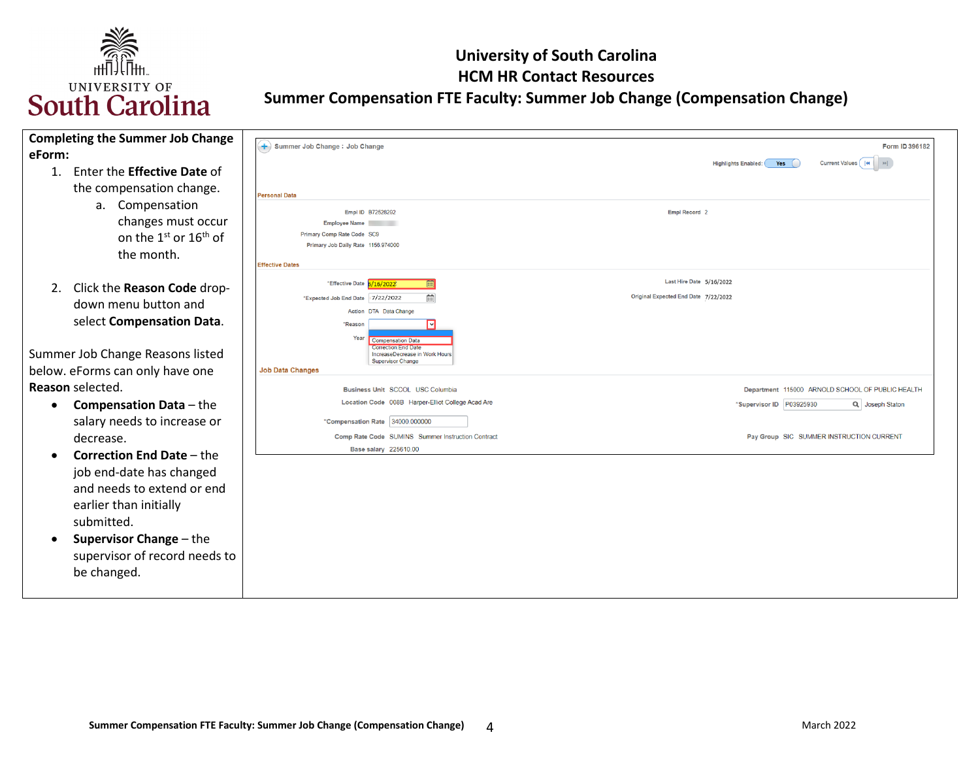

| <b>Completing the Summer Job Change</b><br>eForm:                                                                                                                                                                    | + Summer Job Change : Job Change                                                                                                                                           | Form ID 396182                                                   |
|----------------------------------------------------------------------------------------------------------------------------------------------------------------------------------------------------------------------|----------------------------------------------------------------------------------------------------------------------------------------------------------------------------|------------------------------------------------------------------|
| Enter the <b>Effective Date</b> of<br>1.<br>the compensation change.                                                                                                                                                 | <b>Personal Data</b>                                                                                                                                                       | Current Values    4 <br>Yes<br><b>Highlights Enabled:</b>        |
| a. Compensation<br>changes must occur<br>on the 1 <sup>st</sup> or 16 <sup>th</sup> of<br>the month.                                                                                                                 | Empl ID B72528292<br><b>Employee Name</b><br>Primary Comp Rate Code SC9<br>Primary Job Daily Rate 1156.974000<br><b>Effective Dates</b>                                    | Empl Record 2                                                    |
| 2. Click the Reason Code drop-<br>down menu button and<br>select Compensation Data.                                                                                                                                  | "Effective Date 6/16/2022<br>曲<br>*Expected Job End Date 17/22/2022<br>Action DTA Data Change<br>*Reason<br>Year<br><b>Compensation Data</b><br><b>Correction:End Date</b> | Last Hire Date 5/16/2022<br>Original Expected End Date 7/22/2022 |
| Summer Job Change Reasons listed                                                                                                                                                                                     | IncreaseDecrease in Work Hours<br><b>Supervisor Change</b>                                                                                                                 |                                                                  |
| below. eForms can only have one                                                                                                                                                                                      | <b>Job Data Changes</b>                                                                                                                                                    |                                                                  |
| Reason selected.                                                                                                                                                                                                     | Business Unit SCCOL USC Columbia                                                                                                                                           | Department 115000 ARNOLD SCHOOL OF PUBLIC HEALTH                 |
| <b>Compensation Data</b> - the<br>$\bullet$                                                                                                                                                                          | Location Code 008B Harper-Elliot College Acad Are                                                                                                                          | *Supervisor ID P03925930<br>Q Joseph Staton                      |
| salary needs to increase or                                                                                                                                                                                          | *Compensation Rate 34000.000000                                                                                                                                            |                                                                  |
| decrease.                                                                                                                                                                                                            | Comp Rate Code SUMINS Summer Instruction Contract                                                                                                                          | Pay Group SIC SUMMER INSTRUCTION CURRENT                         |
| <b>Correction End Date - the</b><br>job end-date has changed<br>and needs to extend or end<br>earlier than initially<br>submitted.<br><b>Supervisor Change - the</b><br>supervisor of record needs to<br>be changed. | Base salary 225610.00                                                                                                                                                      |                                                                  |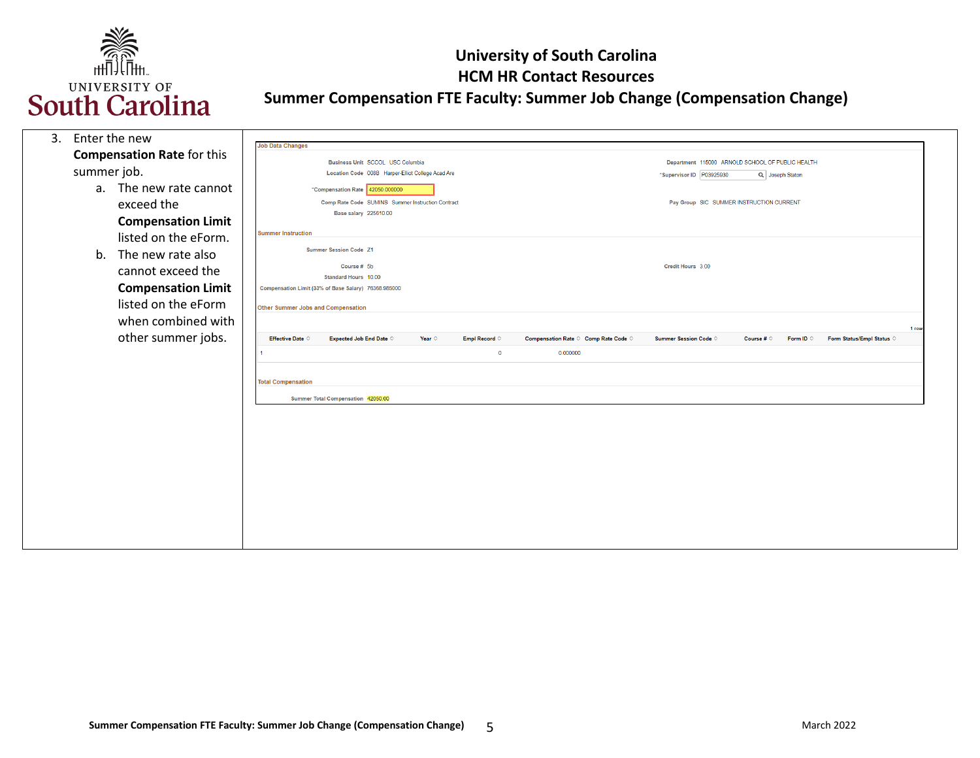

| 3. | Enter the new |                                   | <b>Job Data Changes</b>                   |                                                      |                 |                        |          |                                                        |                                                                              |                     |                    |                           |       |
|----|---------------|-----------------------------------|-------------------------------------------|------------------------------------------------------|-----------------|------------------------|----------|--------------------------------------------------------|------------------------------------------------------------------------------|---------------------|--------------------|---------------------------|-------|
|    |               | <b>Compensation Rate for this</b> |                                           | Business Unit SCCOL USC Columbia                     |                 |                        |          |                                                        |                                                                              |                     |                    |                           |       |
|    | summer job.   |                                   |                                           | Location Code 008B Harper-Elliot College Acad Are    |                 |                        |          |                                                        | Department 115000 ARNOLD SCHOOL OF PUBLIC HEALTH<br>*Supervisor ID P03925930 |                     | Q Joseph Staton    |                           |       |
|    | a.            | The new rate cannot               |                                           | *Compensation Rate 42050.000000                      |                 |                        |          |                                                        |                                                                              |                     |                    |                           |       |
|    |               | exceed the                        |                                           | Comp Rate Code SUMINS Summer Instruction Contract    |                 |                        |          |                                                        | Pay Group SIC SUMMER INSTRUCTION CURRENT                                     |                     |                    |                           |       |
|    |               |                                   |                                           | <b>Base salary 225610.00</b>                         |                 |                        |          |                                                        |                                                                              |                     |                    |                           |       |
|    |               | <b>Compensation Limit</b>         | <b>Summer Instruction</b>                 |                                                      |                 |                        |          |                                                        |                                                                              |                     |                    |                           |       |
|    |               | listed on the eForm.              |                                           | <b>Summer Session Code Z1</b>                        |                 |                        |          |                                                        |                                                                              |                     |                    |                           |       |
|    | b.            | The new rate also                 |                                           |                                                      |                 |                        |          |                                                        | Credit Hours 3.00                                                            |                     |                    |                           |       |
|    |               | cannot exceed the                 |                                           | Course # 5b<br>Standard Hours 10.00                  |                 |                        |          |                                                        |                                                                              |                     |                    |                           |       |
|    |               | <b>Compensation Limit</b>         |                                           | Compensation Limit (33% of Base Salary) 76368.985000 |                 |                        |          |                                                        |                                                                              |                     |                    |                           |       |
|    |               | listed on the eForm               | <b>Other Summer Jobs and Compensation</b> |                                                      |                 |                        |          |                                                        |                                                                              |                     |                    |                           |       |
|    |               | when combined with                |                                           |                                                      |                 |                        |          |                                                        |                                                                              |                     |                    |                           |       |
|    |               | other summer jobs.                | <b>Effective Date C</b>                   | <b>Expected Job End Date C</b>                       | Year $\diamond$ | Empl Record $\Diamond$ |          | Compensation Rate $\Diamond$ Comp Rate Code $\Diamond$ | <b>Summer Session Code ©</b>                                                 | Course # $\diamond$ | Form ID $\Diamond$ | Form Status/Empl Status © | 1 row |
|    |               |                                   |                                           |                                                      |                 | $\mathbf 0$            | 0.000000 |                                                        |                                                                              |                     |                    |                           |       |
|    |               |                                   |                                           |                                                      |                 |                        |          |                                                        |                                                                              |                     |                    |                           |       |
|    |               |                                   | <b>Total Compensation</b>                 |                                                      |                 |                        |          |                                                        |                                                                              |                     |                    |                           |       |
|    |               |                                   |                                           | Summer Total Compensation 42050.00                   |                 |                        |          |                                                        |                                                                              |                     |                    |                           |       |
|    |               |                                   |                                           |                                                      |                 |                        |          |                                                        |                                                                              |                     |                    |                           |       |
|    |               |                                   |                                           |                                                      |                 |                        |          |                                                        |                                                                              |                     |                    |                           |       |
|    |               |                                   |                                           |                                                      |                 |                        |          |                                                        |                                                                              |                     |                    |                           |       |
|    |               |                                   |                                           |                                                      |                 |                        |          |                                                        |                                                                              |                     |                    |                           |       |
|    |               |                                   |                                           |                                                      |                 |                        |          |                                                        |                                                                              |                     |                    |                           |       |
|    |               |                                   |                                           |                                                      |                 |                        |          |                                                        |                                                                              |                     |                    |                           |       |
|    |               |                                   |                                           |                                                      |                 |                        |          |                                                        |                                                                              |                     |                    |                           |       |
|    |               |                                   |                                           |                                                      |                 |                        |          |                                                        |                                                                              |                     |                    |                           |       |
|    |               |                                   |                                           |                                                      |                 |                        |          |                                                        |                                                                              |                     |                    |                           |       |
|    |               |                                   |                                           |                                                      |                 |                        |          |                                                        |                                                                              |                     |                    |                           |       |